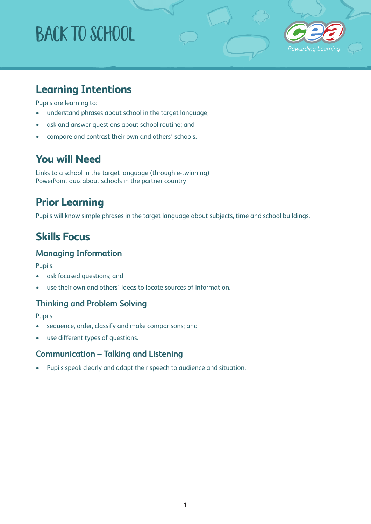# BACK To school



## **Learning Intentions**

Pupils are learning to:

- understand phrases about school in the target language;
- ask and answer questions about school routine; and
- compare and contrast their own and others' schools.

#### **You will Need**

Links to a school in the target language (through e-twinning) PowerPoint quiz about schools in the partner country

## **Prior Learning**

Pupils will know simple phrases in the target language about subjects, time and school buildings.

## **Skills Focus**

#### **Managing Information**

Pupils:

- ask focused questions; and
- use their own and others' ideas to locate sources of information.

#### **Thinking and Problem Solving**

Pupils:

- sequence, order, classify and make comparisons; and
- use different types of questions.

#### **Communication – Talking and Listening**

• Pupils speak clearly and adapt their speech to audience and situation.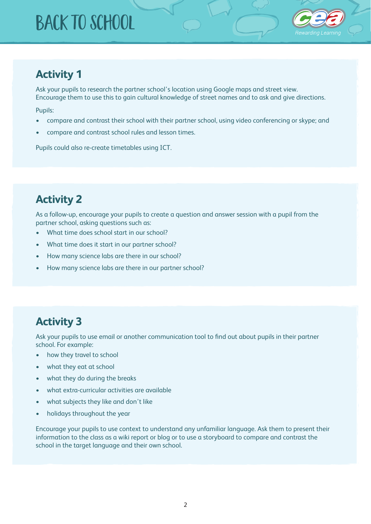## BACK To school



#### **Activity 1**

Ask your pupils to research the partner school's location using Google maps and street view. Encourage them to use this to gain cultural knowledge of street names and to ask and give directions.

Pupils:

- compare and contrast their school with their partner school, using video conferencing or skype; and
- compare and contrast school rules and lesson times.

Pupils could also re-create timetables using ICT.

## **Activity 2**

As a follow-up, encourage your pupils to create a question and answer session with a pupil from the partner school, asking questions such as:

- What time does school start in our school?
- What time does it start in our partner school?
- How many science labs are there in our school?
- How many science labs are there in our partner school?

### **Activity 3**

Ask your pupils to use email or another communication tool to find out about pupils in their partner school. For example:

- how they travel to school
- what they eat at school
- what they do during the breaks
- what extra-curricular activities are available
- what subjects they like and don't like
- holidays throughout the year

Encourage your pupils to use context to understand any unfamiliar language. Ask them to present their information to the class as a wiki report or blog or to use a storyboard to compare and contrast the school in the target language and their own school.